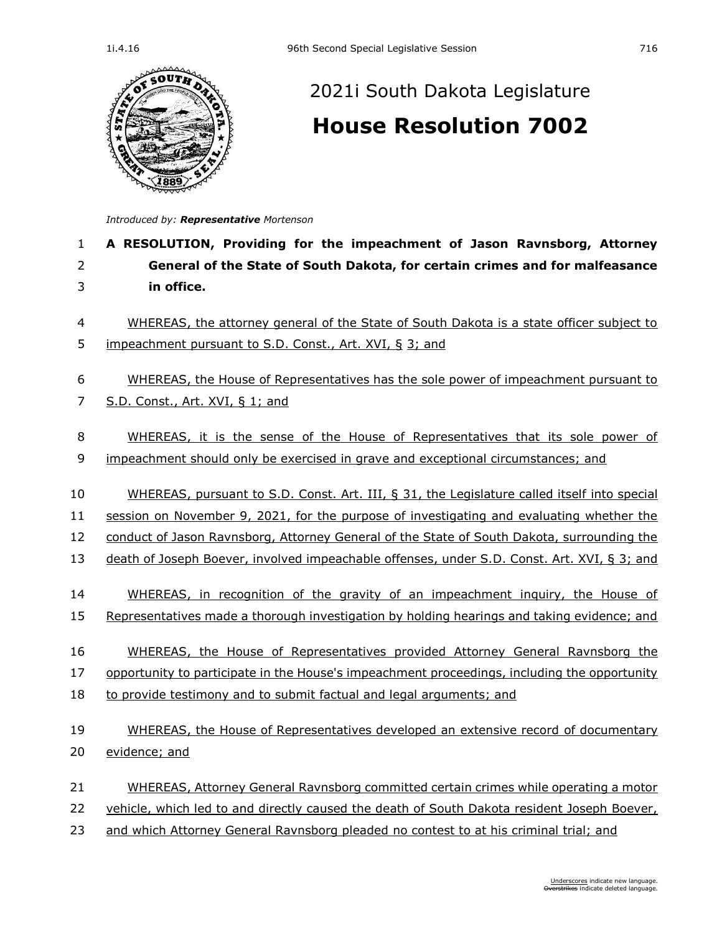

## [2021i South Dakota Legislature](https://sdlegislature.gov/Session/Bills/66) **[House Resolution 7002](https://sdlegislature.gov/Session/Bill/23552)**

*Introduced by: Representative [Mortenson](https://sdlegislature.gov/Legislators/Profile/4182/Detail)*

## 1 **A RESOLUTION, Providing for the impeachment of Jason Ravnsborg, Attorney**  2 **General of the State of South Dakota, for certain crimes and for malfeasance**  3 **in office.**

4 WHEREAS, the attorney general of the State of South Dakota is a state officer subject to 5 impeachment pursuant to S.D. Const., Art. XVI, § 3; and

## 6 WHEREAS, the House of Representatives has the sole power of impeachment pursuant to

7 S.D. Const., Art. XVI, § 1; and

8 WHEREAS, it is the sense of the House of Representatives that its sole power of 9 impeachment should only be exercised in grave and exceptional circumstances; and

 WHEREAS, pursuant to S.D. Const. Art. III, § 31, the Legislature called itself into special session on November 9, 2021, for the purpose of investigating and evaluating whether the conduct of Jason Ravnsborg, Attorney General of the State of South Dakota, surrounding the 13 death of Joseph Boever, involved impeachable offenses, under S.D. Const. Art. XVI, § 3; and

- 14 WHEREAS, in recognition of the gravity of an impeachment inquiry, the House of 15 Representatives made a thorough investigation by holding hearings and taking evidence; and
- 16 WHEREAS, the House of Representatives provided Attorney General Ravnsborg the

17 opportunity to participate in the House's impeachment proceedings, including the opportunity

18 to provide testimony and to submit factual and legal arguments; and

## 19 WHEREAS, the House of Representatives developed an extensive record of documentary 20 evidence; and

- 21 WHEREAS, Attorney General Ravnsborg committed certain crimes while operating a motor
- 22 vehicle, which led to and directly caused the death of South Dakota resident Joseph Boever,
- 23 and which Attorney General Ravnsborg pleaded no contest to at his criminal trial; and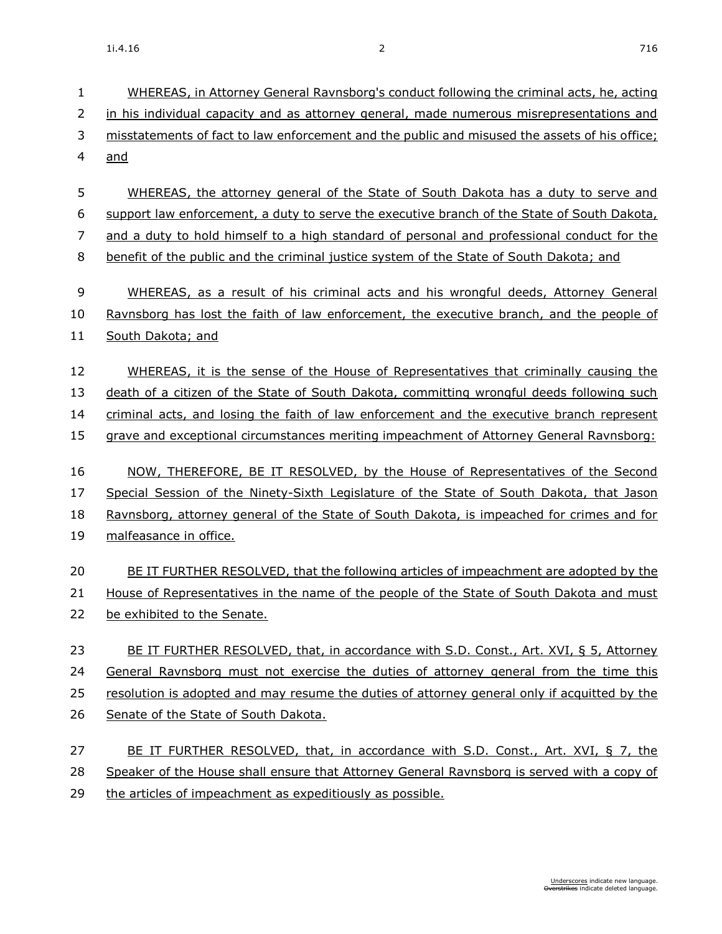1i.4.16 2 716

| 1              | WHEREAS, in Attorney General Ravnsborg's conduct following the criminal acts, he, acting      |
|----------------|-----------------------------------------------------------------------------------------------|
| $\overline{2}$ | in his individual capacity and as attorney general, made numerous misrepresentations and      |
| 3              | misstatements of fact to law enforcement and the public and misused the assets of his office; |
| $\overline{4}$ | and                                                                                           |
| 5              | WHEREAS, the attorney general of the State of South Dakota has a duty to serve and            |
| 6              | support law enforcement, a duty to serve the executive branch of the State of South Dakota,   |
| 7              | and a duty to hold himself to a high standard of personal and professional conduct for the    |
| 8              | benefit of the public and the criminal justice system of the State of South Dakota; and       |
| 9              | WHEREAS, as a result of his criminal acts and his wrongful deeds, Attorney General            |
| 10             | Ravnsborg has lost the faith of law enforcement, the executive branch, and the people of      |
| 11             | South Dakota; and                                                                             |
| 12             | WHEREAS, it is the sense of the House of Representatives that criminally causing the          |
| 13             | death of a citizen of the State of South Dakota, committing wrongful deeds following such     |
| 14             | criminal acts, and losing the faith of law enforcement and the executive branch represent     |
| 15             | grave and exceptional circumstances meriting impeachment of Attorney General Ravnsborg:       |
| 16             | NOW, THEREFORE, BE IT RESOLVED, by the House of Representatives of the Second                 |
| 17             | Special Session of the Ninety-Sixth Legislature of the State of South Dakota, that Jason      |
| 18             | Ravnsborg, attorney general of the State of South Dakota, is impeached for crimes and for     |
| 19             | malfeasance in office.                                                                        |
| 20             | BE IT FURTHER RESOLVED, that the following articles of impeachment are adopted by the         |
| 21             | House of Representatives in the name of the people of the State of South Dakota and must      |
| 22             | be exhibited to the Senate.                                                                   |
| 23             | BE IT FURTHER RESOLVED, that, in accordance with S.D. Const., Art. XVI, § 5, Attorney         |
| 24             | General Ravnsborg must not exercise the duties of attorney general from the time this         |
| 25             | resolution is adopted and may resume the duties of attorney general only if acquitted by the  |
| 26             | Senate of the State of South Dakota.                                                          |
| 27             | BE IT FURTHER RESOLVED, that, in accordance with S.D. Const., Art. XVI, § 7, the              |
| 28             | Speaker of the House shall ensure that Attorney General Ravnsborg is served with a copy of    |
| 29             | the articles of impeachment as expeditiously as possible.                                     |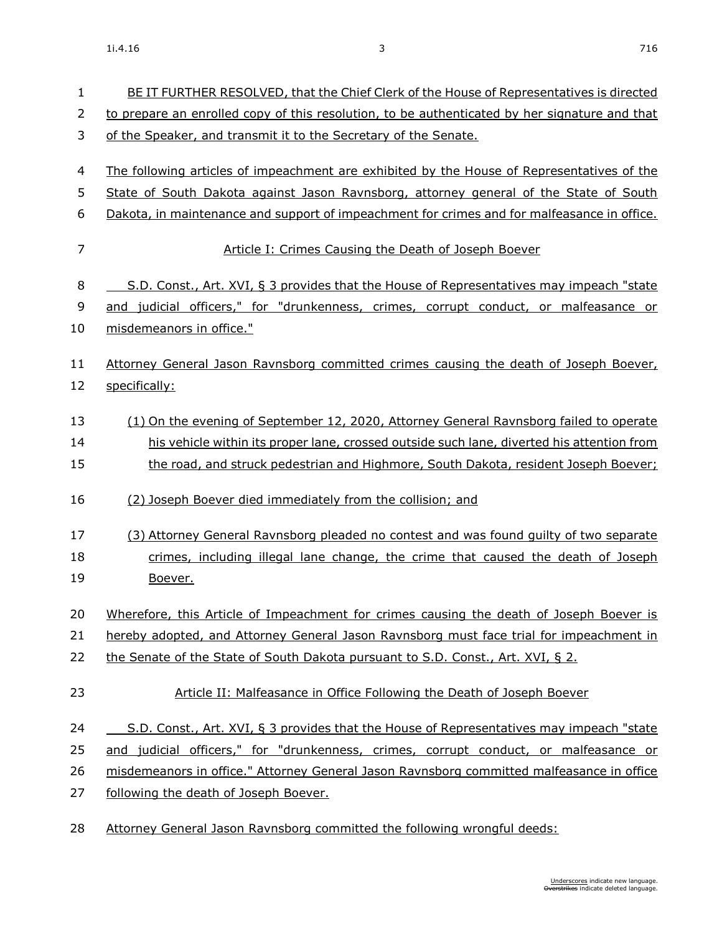| $\mathbf{1}$ | BE IT FURTHER RESOLVED, that the Chief Clerk of the House of Representatives is directed      |
|--------------|-----------------------------------------------------------------------------------------------|
| 2            | to prepare an enrolled copy of this resolution, to be authenticated by her signature and that |
| 3            | of the Speaker, and transmit it to the Secretary of the Senate.                               |
| 4            | The following articles of impeachment are exhibited by the House of Representatives of the    |
| 5            | State of South Dakota against Jason Ravnsborg, attorney general of the State of South         |
| 6            | Dakota, in maintenance and support of impeachment for crimes and for malfeasance in office.   |
| 7            | Article I: Crimes Causing the Death of Joseph Boever                                          |
| 8            | S.D. Const., Art. XVI, § 3 provides that the House of Representatives may impeach "state      |
| 9            | and judicial officers," for "drunkenness, crimes, corrupt conduct, or malfeasance or          |
| 10           | misdemeanors in office."                                                                      |
| 11           | Attorney General Jason Ravnsborg committed crimes causing the death of Joseph Boever,         |
| 12           | specifically:                                                                                 |
| 13           | (1) On the evening of September 12, 2020, Attorney General Ravnsborg failed to operate        |
| 14           | his vehicle within its proper lane, crossed outside such lane, diverted his attention from    |
| 15           | the road, and struck pedestrian and Highmore, South Dakota, resident Joseph Boever;           |
| 16           | (2) Joseph Boever died immediately from the collision; and                                    |
| 17           | (3) Attorney General Ravnsborg pleaded no contest and was found quilty of two separate        |
| 18           | crimes, including illegal lane change, the crime that caused the death of Joseph              |
| 19           | Boever.                                                                                       |
| 20           | Wherefore, this Article of Impeachment for crimes causing the death of Joseph Boever is       |
| 21           | hereby adopted, and Attorney General Jason Ravnsborg must face trial for impeachment in       |
| 22           | the Senate of the State of South Dakota pursuant to S.D. Const., Art. XVI, § 2.               |
| 23           | Article II: Malfeasance in Office Following the Death of Joseph Boever                        |
| 24           | S.D. Const., Art. XVI, § 3 provides that the House of Representatives may impeach "state      |
| 25           | and judicial officers," for "drunkenness, crimes, corrupt conduct, or malfeasance or          |
| 26           | misdemeanors in office." Attorney General Jason Ravnsborg committed malfeasance in office     |
| 27           | following the death of Joseph Boever.                                                         |
| 28           | Attorney General Jason Ravnsborg committed the following wrongful deeds:                      |